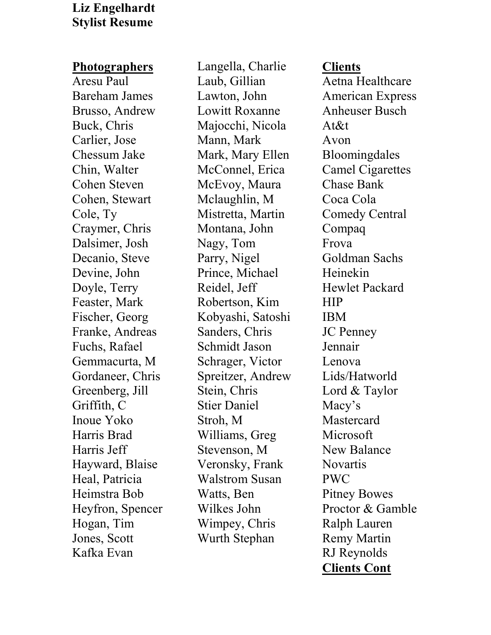## **Liz Engelhardt Stylist Resume**

## **Photographers**

Aresu Paul Bareham James Brusso, Andrew Buck, Chris Carlier, Jose Chessum Jake Chin, Walter Cohen Steven Cohen, Stewart Cole, Ty Craymer, Chris Dalsimer, Josh Decanio, Steve Devine, John Doyle, Terry Feaster, Mark Fischer, Georg Franke, Andreas Fuchs, Rafael Gemmacurta, M Gordaneer, Chris Greenberg, Jill Griffith, C Inoue Yoko Harris Brad Harris Jeff Hayward, Blaise Heal, Patricia Heimstra Bob Heyfron, Spencer Hogan, Tim Jones, Scott Kafka Evan

Langella, Charlie Laub, Gillian Lawton, John Lowitt Roxanne Majocchi, Nicola Mann, Mark Mark, Mary Ellen McConnel, Erica McEvoy, Maura Mclaughlin, M Mistretta, Martin Montana, John Nagy, Tom Parry, Nigel Prince, Michael Reidel, Jeff Robertson, Kim Kobyashi, Satoshi Sanders, Chris Schmidt Jason Schrager, Victor Spreitzer, Andrew Stein, Chris Stier Daniel Stroh, M Williams, Greg Stevenson, M Veronsky, Frank Walstrom Susan Watts, Ben Wilkes John Wimpey, Chris Wurth Stephan

## **Clients**

Aetna Healthcare American Express Anheuser Busch At&t Avon Bloomingdales Camel Cigarettes Chase Bank Coca Cola Comedy Central Compaq Frova Goldman Sachs Heinekin Hewlet Packard HIP IBM JC Penney Jennair Lenova Lids/Hatworld Lord & Taylor Macy's **Mastercard Microsoft** New Balance **Novartis** PWC Pitney Bowes Proctor & Gamble Ralph Lauren Remy Martin RJ Reynolds **Clients Cont**